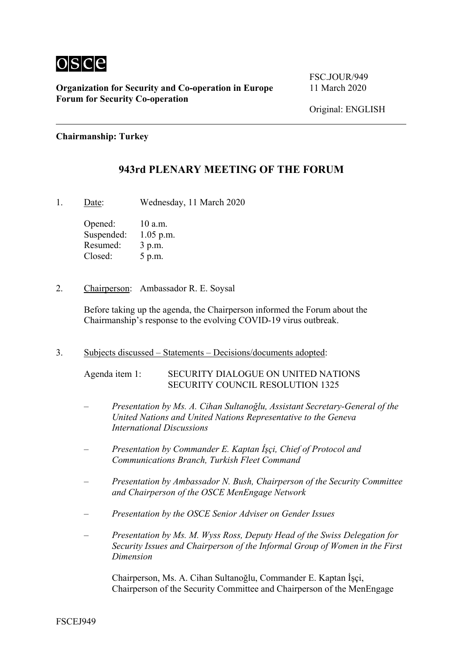

FSC.JOUR/949

#### **Chairmanship: Turkey**

#### **943rd PLENARY MEETING OF THE FORUM**

1. Date: Wednesday, 11 March 2020

Opened: 10 a.m. Suspended: 1.05 p.m. Resumed: 3 p.m. Closed: 5 p.m.

2. Chairperson: Ambassador R. E. Soysal

Before taking up the agenda, the Chairperson informed the Forum about the Chairmanship's response to the evolving COVID-19 virus outbreak.

3. Subjects discussed – Statements – Decisions/documents adopted:

Agenda item 1: SECURITY DIALOGUE ON UNITED NATIONS SECURITY COUNCIL RESOLUTION 1325

- *Presentation by Ms. A. Cihan Sultanoğlu, Assistant Secretary-General of the United Nations and United Nations Representative to the Geneva International Discussions*
- *Presentation by Commander E. Kaptan İşçi, Chief of Protocol and Communications Branch, Turkish Fleet Command*
- *Presentation by Ambassador N. Bush, Chairperson of the Security Committee and Chairperson of the OSCE MenEngage Network*
- *Presentation by the OSCE Senior Adviser on Gender Issues*
- *Presentation by Ms. M. Wyss Ross, Deputy Head of the Swiss Delegation for Security Issues and Chairperson of the Informal Group of Women in the First Dimension*

Chairperson, Ms. A. Cihan Sultanoğlu, Commander E. Kaptan İşçi, Chairperson of the Security Committee and Chairperson of the MenEngage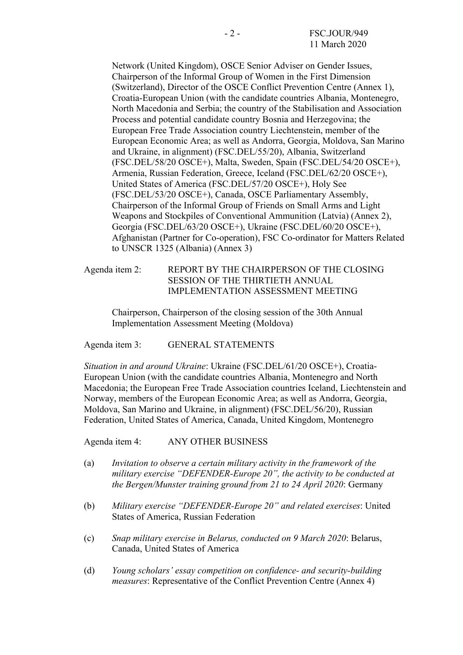Network (United Kingdom), OSCE Senior Adviser on Gender Issues, Chairperson of the Informal Group of Women in the First Dimension (Switzerland), Director of the OSCE Conflict Prevention Centre (Annex 1), Croatia-European Union (with the candidate countries Albania, Montenegro, North Macedonia and Serbia; the country of the Stabilisation and Association Process and potential candidate country Bosnia and Herzegovina; the European Free Trade Association country Liechtenstein, member of the European Economic Area; as well as Andorra, Georgia, Moldova, San Marino and Ukraine, in alignment) (FSC.DEL/55/20), Albania, Switzerland (FSC.DEL/58/20 OSCE+), Malta, Sweden, Spain (FSC.DEL/54/20 OSCE+), Armenia, Russian Federation, Greece, Iceland (FSC.DEL/62/20 OSCE+), United States of America (FSC.DEL/57/20 OSCE+), Holy See (FSC.DEL/53/20 OSCE+), Canada, OSCE Parliamentary Assembly, Chairperson of the Informal Group of Friends on Small Arms and Light Weapons and Stockpiles of Conventional Ammunition (Latvia) (Annex 2), Georgia (FSC.DEL/63/20 OSCE+), Ukraine (FSC.DEL/60/20 OSCE+), Afghanistan (Partner for Co-operation), FSC Co-ordinator for Matters Related to UNSCR 1325 (Albania) (Annex 3)

Agenda item 2: REPORT BY THE CHAIRPERSON OF THE CLOSING SESSION OF THE THIRTIETH ANNUAL IMPLEMENTATION ASSESSMENT MEETING

Chairperson, Chairperson of the closing session of the 30th Annual Implementation Assessment Meeting (Moldova)

Agenda item 3: GENERAL STATEMENTS

*Situation in and around Ukraine*: Ukraine (FSC.DEL/61/20 OSCE+), Croatia-European Union (with the candidate countries Albania, Montenegro and North Macedonia; the European Free Trade Association countries Iceland, Liechtenstein and Norway, members of the European Economic Area; as well as Andorra, Georgia, Moldova, San Marino and Ukraine, in alignment) (FSC.DEL/56/20), Russian Federation, United States of America, Canada, United Kingdom, Montenegro

Agenda item 4: ANY OTHER BUSINESS

- (a) *Invitation to observe a certain military activity in the framework of the military exercise "DEFENDER-Europe 20", the activity to be conducted at the Bergen/Munster training ground from 21 to 24 April 2020*: Germany
- (b) *Military exercise "DEFENDER-Europe 20" and related exercises*: United States of America, Russian Federation
- (c) *Snap military exercise in Belarus, conducted on 9 March 2020*: Belarus, Canada, United States of America
- (d) *Young scholars' essay competition on confidence- and security-building measures*: Representative of the Conflict Prevention Centre (Annex 4)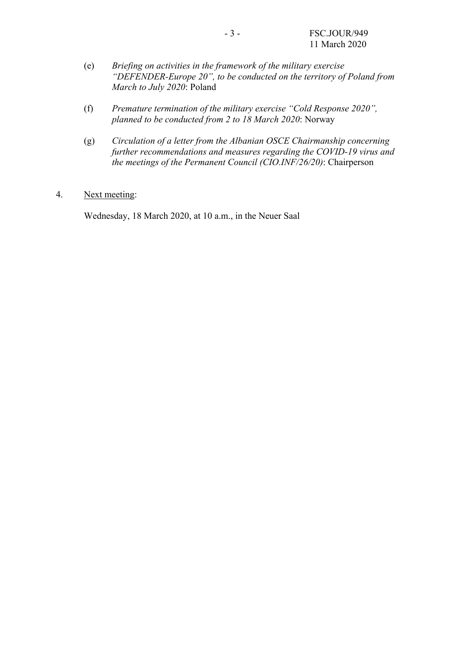- (e) *Briefing on activities in the framework of the military exercise "DEFENDER-Europe 20", to be conducted on the territory of Poland from March to July 2020*: Poland
- (f) *Premature termination of the military exercise "Cold Response 2020", planned to be conducted from 2 to 18 March 2020*: Norway
- (g) *Circulation of a letter from the Albanian OSCE Chairmanship concerning further recommendations and measures regarding the COVID-19 virus and the meetings of the Permanent Council (CIO.INF/26/20)*: Chairperson

#### 4. Next meeting:

Wednesday, 18 March 2020, at 10 a.m., in the Neuer Saal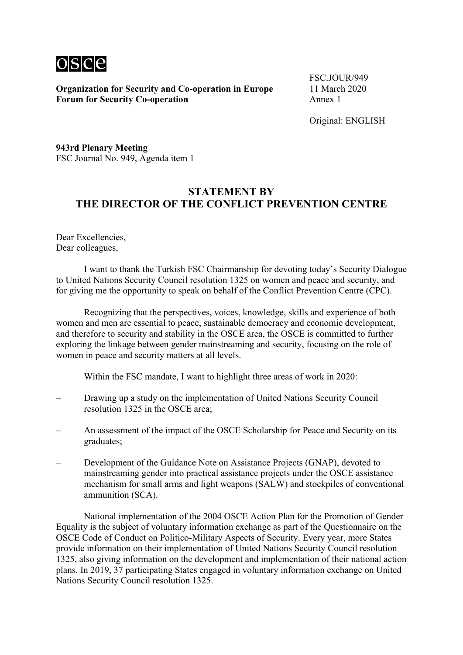

FSC.JOUR/949

Original: ENGLISH

**943rd Plenary Meeting**  FSC Journal No. 949, Agenda item 1

# **STATEMENT BY THE DIRECTOR OF THE CONFLICT PREVENTION CENTRE**

Dear Excellencies, Dear colleagues,

 I want to thank the Turkish FSC Chairmanship for devoting today's Security Dialogue to United Nations Security Council resolution 1325 on women and peace and security, and for giving me the opportunity to speak on behalf of the Conflict Prevention Centre (CPC).

 Recognizing that the perspectives, voices, knowledge, skills and experience of both women and men are essential to peace, sustainable democracy and economic development, and therefore to security and stability in the OSCE area, the OSCE is committed to further exploring the linkage between gender mainstreaming and security, focusing on the role of women in peace and security matters at all levels.

Within the FSC mandate, I want to highlight three areas of work in 2020:

- Drawing up a study on the implementation of United Nations Security Council resolution 1325 in the OSCE area;
- An assessment of the impact of the OSCE Scholarship for Peace and Security on its graduates;
- Development of the Guidance Note on Assistance Projects (GNAP), devoted to mainstreaming gender into practical assistance projects under the OSCE assistance mechanism for small arms and light weapons (SALW) and stockpiles of conventional ammunition (SCA).

 National implementation of the 2004 OSCE Action Plan for the Promotion of Gender Equality is the subject of voluntary information exchange as part of the Questionnaire on the OSCE Code of Conduct on Politico-Military Aspects of Security. Every year, more States provide information on their implementation of United Nations Security Council resolution 1325, also giving information on the development and implementation of their national action plans. In 2019, 37 participating States engaged in voluntary information exchange on United Nations Security Council resolution 1325.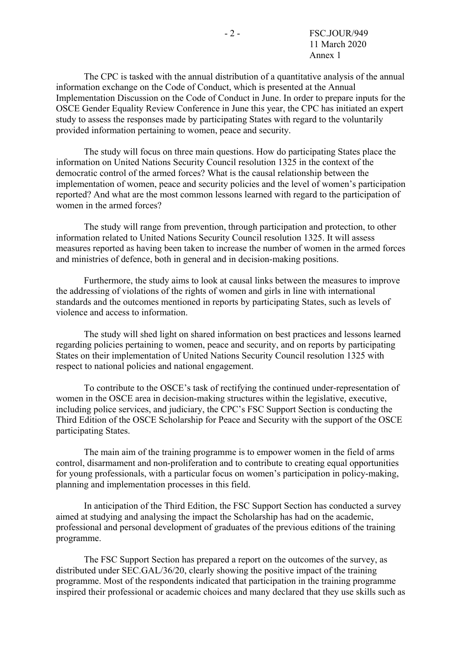The CPC is tasked with the annual distribution of a quantitative analysis of the annual information exchange on the Code of Conduct, which is presented at the Annual Implementation Discussion on the Code of Conduct in June. In order to prepare inputs for the OSCE Gender Equality Review Conference in June this year, the CPC has initiated an expert study to assess the responses made by participating States with regard to the voluntarily provided information pertaining to women, peace and security.

 The study will focus on three main questions. How do participating States place the information on United Nations Security Council resolution 1325 in the context of the democratic control of the armed forces? What is the causal relationship between the implementation of women, peace and security policies and the level of women's participation reported? And what are the most common lessons learned with regard to the participation of women in the armed forces?

 The study will range from prevention, through participation and protection, to other information related to United Nations Security Council resolution 1325. It will assess measures reported as having been taken to increase the number of women in the armed forces and ministries of defence, both in general and in decision-making positions.

 Furthermore, the study aims to look at causal links between the measures to improve the addressing of violations of the rights of women and girls in line with international standards and the outcomes mentioned in reports by participating States, such as levels of violence and access to information.

 The study will shed light on shared information on best practices and lessons learned regarding policies pertaining to women, peace and security, and on reports by participating States on their implementation of United Nations Security Council resolution 1325 with respect to national policies and national engagement.

 To contribute to the OSCE's task of rectifying the continued under-representation of women in the OSCE area in decision-making structures within the legislative, executive, including police services, and judiciary, the CPC's FSC Support Section is conducting the Third Edition of the OSCE Scholarship for Peace and Security with the support of the OSCE participating States.

 The main aim of the training programme is to empower women in the field of arms control, disarmament and non-proliferation and to contribute to creating equal opportunities for young professionals, with a particular focus on women's participation in policy-making, planning and implementation processes in this field.

 In anticipation of the Third Edition, the FSC Support Section has conducted a survey aimed at studying and analysing the impact the Scholarship has had on the academic, professional and personal development of graduates of the previous editions of the training programme.

 The FSC Support Section has prepared a report on the outcomes of the survey, as distributed under SEC.GAL/36/20, clearly showing the positive impact of the training programme. Most of the respondents indicated that participation in the training programme inspired their professional or academic choices and many declared that they use skills such as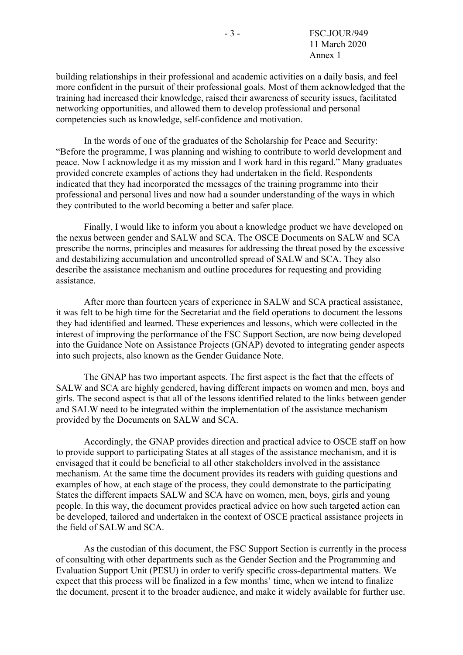building relationships in their professional and academic activities on a daily basis, and feel more confident in the pursuit of their professional goals. Most of them acknowledged that the training had increased their knowledge, raised their awareness of security issues, facilitated networking opportunities, and allowed them to develop professional and personal competencies such as knowledge, self-confidence and motivation.

 In the words of one of the graduates of the Scholarship for Peace and Security: "Before the programme, I was planning and wishing to contribute to world development and peace. Now I acknowledge it as my mission and I work hard in this regard." Many graduates provided concrete examples of actions they had undertaken in the field. Respondents indicated that they had incorporated the messages of the training programme into their professional and personal lives and now had a sounder understanding of the ways in which they contributed to the world becoming a better and safer place.

 Finally, I would like to inform you about a knowledge product we have developed on the nexus between gender and SALW and SCA. The OSCE Documents on SALW and SCA prescribe the norms, principles and measures for addressing the threat posed by the excessive and destabilizing accumulation and uncontrolled spread of SALW and SCA. They also describe the assistance mechanism and outline procedures for requesting and providing assistance.

 After more than fourteen years of experience in SALW and SCA practical assistance, it was felt to be high time for the Secretariat and the field operations to document the lessons they had identified and learned. These experiences and lessons, which were collected in the interest of improving the performance of the FSC Support Section, are now being developed into the Guidance Note on Assistance Projects (GNAP) devoted to integrating gender aspects into such projects, also known as the Gender Guidance Note.

 The GNAP has two important aspects. The first aspect is the fact that the effects of SALW and SCA are highly gendered, having different impacts on women and men, boys and girls. The second aspect is that all of the lessons identified related to the links between gender and SALW need to be integrated within the implementation of the assistance mechanism provided by the Documents on SALW and SCA.

 Accordingly, the GNAP provides direction and practical advice to OSCE staff on how to provide support to participating States at all stages of the assistance mechanism, and it is envisaged that it could be beneficial to all other stakeholders involved in the assistance mechanism. At the same time the document provides its readers with guiding questions and examples of how, at each stage of the process, they could demonstrate to the participating States the different impacts SALW and SCA have on women, men, boys, girls and young people. In this way, the document provides practical advice on how such targeted action can be developed, tailored and undertaken in the context of OSCE practical assistance projects in the field of SALW and SCA.

 As the custodian of this document, the FSC Support Section is currently in the process of consulting with other departments such as the Gender Section and the Programming and Evaluation Support Unit (PESU) in order to verify specific cross-departmental matters. We expect that this process will be finalized in a few months' time, when we intend to finalize the document, present it to the broader audience, and make it widely available for further use.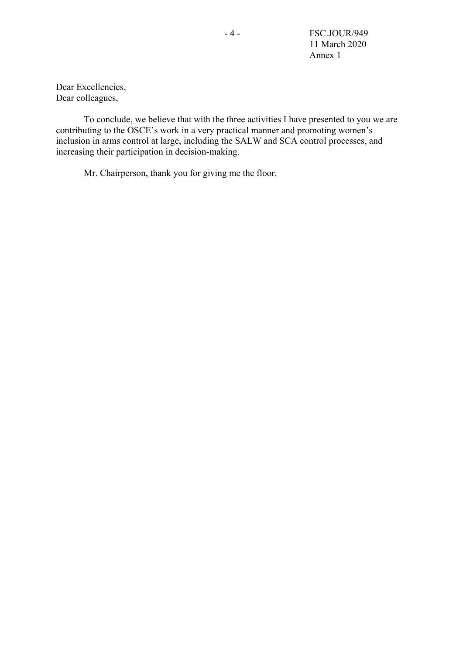- 4 - FSC.JOUR/949 11 March 2020 Annex 1

Dear Excellencies, Dear colleagues,

 To conclude, we believe that with the three activities I have presented to you we are contributing to the OSCE's work in a very practical manner and promoting women's inclusion in arms control at large, including the SALW and SCA control processes, and increasing their participation in decision-making.

Mr. Chairperson, thank you for giving me the floor.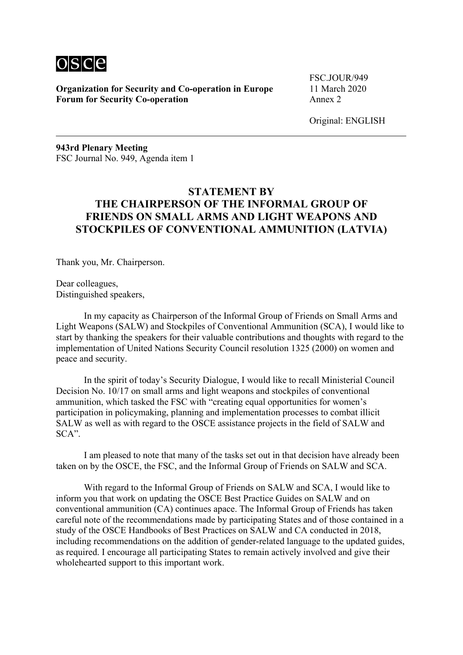

FSC.JOUR/949

Original: ENGLISH

**943rd Plenary Meeting**  FSC Journal No. 949, Agenda item 1

# **STATEMENT BY THE CHAIRPERSON OF THE INFORMAL GROUP OF FRIENDS ON SMALL ARMS AND LIGHT WEAPONS AND STOCKPILES OF CONVENTIONAL AMMUNITION (LATVIA)**

Thank you, Mr. Chairperson.

Dear colleagues, Distinguished speakers,

 In my capacity as Chairperson of the Informal Group of Friends on Small Arms and Light Weapons (SALW) and Stockpiles of Conventional Ammunition (SCA), I would like to start by thanking the speakers for their valuable contributions and thoughts with regard to the implementation of United Nations Security Council resolution 1325 (2000) on women and peace and security.

 In the spirit of today's Security Dialogue, I would like to recall Ministerial Council Decision No. 10/17 on small arms and light weapons and stockpiles of conventional ammunition, which tasked the FSC with "creating equal opportunities for women's participation in policymaking, planning and implementation processes to combat illicit SALW as well as with regard to the OSCE assistance projects in the field of SALW and SCA".

 I am pleased to note that many of the tasks set out in that decision have already been taken on by the OSCE, the FSC, and the Informal Group of Friends on SALW and SCA.

 With regard to the Informal Group of Friends on SALW and SCA, I would like to inform you that work on updating the OSCE Best Practice Guides on SALW and on conventional ammunition (CA) continues apace. The Informal Group of Friends has taken careful note of the recommendations made by participating States and of those contained in a study of the OSCE Handbooks of Best Practices on SALW and CA conducted in 2018, including recommendations on the addition of gender-related language to the updated guides, as required. I encourage all participating States to remain actively involved and give their wholehearted support to this important work.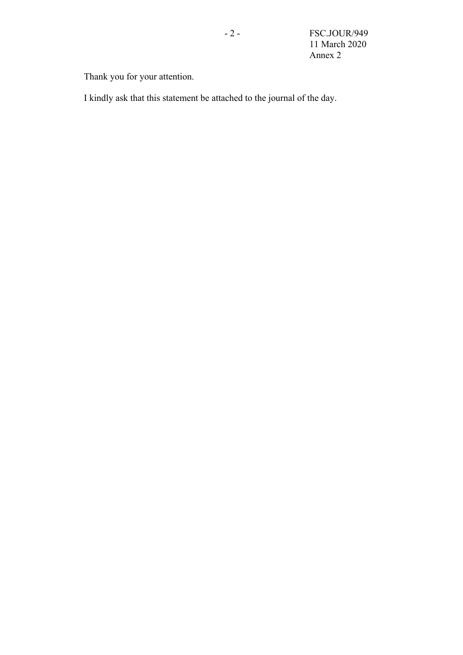Thank you for your attention.

I kindly ask that this statement be attached to the journal of the day.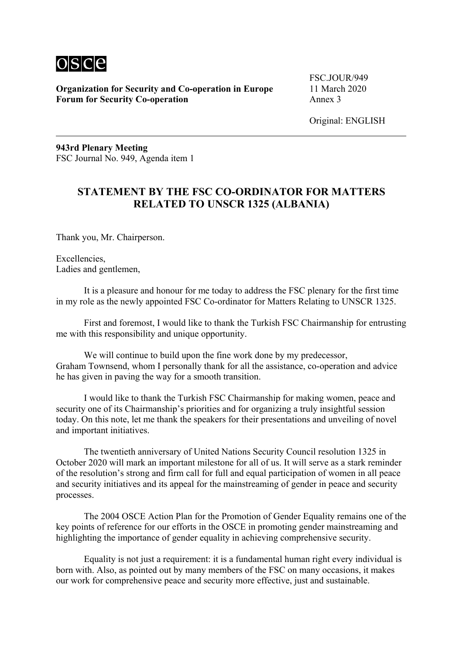

FSC.JOUR/949

Original: ENGLISH

**943rd Plenary Meeting**  FSC Journal No. 949, Agenda item 1

# **STATEMENT BY THE FSC CO-ORDINATOR FOR MATTERS RELATED TO UNSCR 1325 (ALBANIA)**

Thank you, Mr. Chairperson.

Excellencies, Ladies and gentlemen,

 It is a pleasure and honour for me today to address the FSC plenary for the first time in my role as the newly appointed FSC Co-ordinator for Matters Relating to UNSCR 1325.

 First and foremost, I would like to thank the Turkish FSC Chairmanship for entrusting me with this responsibility and unique opportunity.

We will continue to build upon the fine work done by my predecessor. Graham Townsend, whom I personally thank for all the assistance, co-operation and advice he has given in paving the way for a smooth transition.

 I would like to thank the Turkish FSC Chairmanship for making women, peace and security one of its Chairmanship's priorities and for organizing a truly insightful session today. On this note, let me thank the speakers for their presentations and unveiling of novel and important initiatives.

 The twentieth anniversary of United Nations Security Council resolution 1325 in October 2020 will mark an important milestone for all of us. It will serve as a stark reminder of the resolution's strong and firm call for full and equal participation of women in all peace and security initiatives and its appeal for the mainstreaming of gender in peace and security processes.

 The 2004 OSCE Action Plan for the Promotion of Gender Equality remains one of the key points of reference for our efforts in the OSCE in promoting gender mainstreaming and highlighting the importance of gender equality in achieving comprehensive security.

 Equality is not just a requirement: it is a fundamental human right every individual is born with. Also, as pointed out by many members of the FSC on many occasions, it makes our work for comprehensive peace and security more effective, just and sustainable.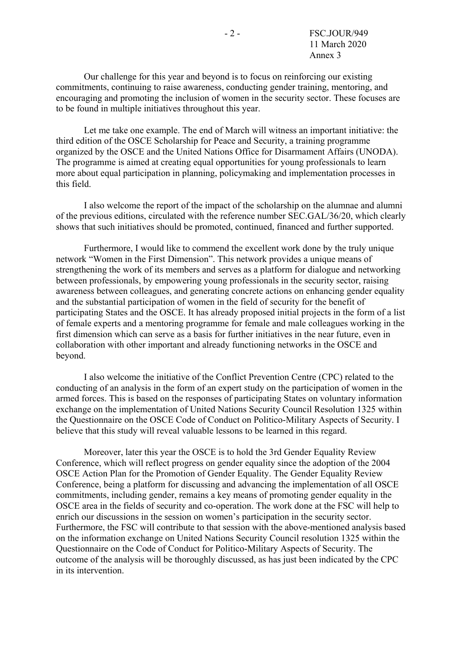Our challenge for this year and beyond is to focus on reinforcing our existing commitments, continuing to raise awareness, conducting gender training, mentoring, and encouraging and promoting the inclusion of women in the security sector. These focuses are to be found in multiple initiatives throughout this year.

 Let me take one example. The end of March will witness an important initiative: the third edition of the OSCE Scholarship for Peace and Security, a training programme organized by the OSCE and the United Nations Office for Disarmament Affairs (UNODA). The programme is aimed at creating equal opportunities for young professionals to learn more about equal participation in planning, policymaking and implementation processes in this field.

 I also welcome the report of the impact of the scholarship on the alumnae and alumni of the previous editions, circulated with the reference number SEC.GAL/36/20, which clearly shows that such initiatives should be promoted, continued, financed and further supported.

 Furthermore, I would like to commend the excellent work done by the truly unique network "Women in the First Dimension". This network provides a unique means of strengthening the work of its members and serves as a platform for dialogue and networking between professionals, by empowering young professionals in the security sector, raising awareness between colleagues, and generating concrete actions on enhancing gender equality and the substantial participation of women in the field of security for the benefit of participating States and the OSCE. It has already proposed initial projects in the form of a list of female experts and a mentoring programme for female and male colleagues working in the first dimension which can serve as a basis for further initiatives in the near future, even in collaboration with other important and already functioning networks in the OSCE and beyond.

 I also welcome the initiative of the Conflict Prevention Centre (CPC) related to the conducting of an analysis in the form of an expert study on the participation of women in the armed forces. This is based on the responses of participating States on voluntary information exchange on the implementation of United Nations Security Council Resolution 1325 within the Questionnaire on the OSCE Code of Conduct on Politico-Military Aspects of Security. I believe that this study will reveal valuable lessons to be learned in this regard.

 Moreover, later this year the OSCE is to hold the 3rd Gender Equality Review Conference, which will reflect progress on gender equality since the adoption of the 2004 OSCE Action Plan for the Promotion of Gender Equality. The Gender Equality Review Conference, being a platform for discussing and advancing the implementation of all OSCE commitments, including gender, remains a key means of promoting gender equality in the OSCE area in the fields of security and co-operation. The work done at the FSC will help to enrich our discussions in the session on women's participation in the security sector. Furthermore, the FSC will contribute to that session with the above-mentioned analysis based on the information exchange on United Nations Security Council resolution 1325 within the Questionnaire on the Code of Conduct for Politico-Military Aspects of Security. The outcome of the analysis will be thoroughly discussed, as has just been indicated by the CPC in its intervention.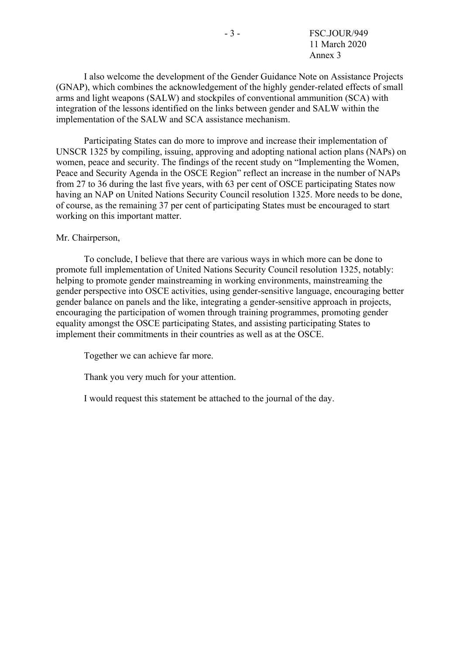I also welcome the development of the Gender Guidance Note on Assistance Projects (GNAP), which combines the acknowledgement of the highly gender-related effects of small arms and light weapons (SALW) and stockpiles of conventional ammunition (SCA) with integration of the lessons identified on the links between gender and SALW within the implementation of the SALW and SCA assistance mechanism.

 Participating States can do more to improve and increase their implementation of UNSCR 1325 by compiling, issuing, approving and adopting national action plans (NAPs) on women, peace and security. The findings of the recent study on "Implementing the Women, Peace and Security Agenda in the OSCE Region" reflect an increase in the number of NAPs from 27 to 36 during the last five years, with 63 per cent of OSCE participating States now having an NAP on United Nations Security Council resolution 1325. More needs to be done, of course, as the remaining 37 per cent of participating States must be encouraged to start working on this important matter.

#### Mr. Chairperson,

 To conclude, I believe that there are various ways in which more can be done to promote full implementation of United Nations Security Council resolution 1325, notably: helping to promote gender mainstreaming in working environments, mainstreaming the gender perspective into OSCE activities, using gender-sensitive language, encouraging better gender balance on panels and the like, integrating a gender-sensitive approach in projects, encouraging the participation of women through training programmes, promoting gender equality amongst the OSCE participating States, and assisting participating States to implement their commitments in their countries as well as at the OSCE.

Together we can achieve far more.

Thank you very much for your attention.

I would request this statement be attached to the journal of the day.